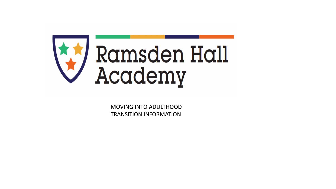

MOVING INTO ADULTHOOD TRANSITION INFORMATION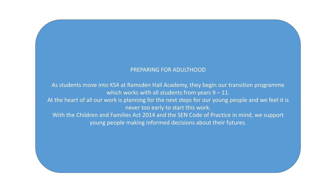#### PREPARING FOR ADULTHOOD

As students move into KS4 at Ramsden Hall Academy, they begin our transition programme which works with all students from years  $9 - 11$ . At the heart of all our work is planning for the next steps for our young people and we feel it is never too early to start this work. With the Children and Families Act 2014 and the SEN Code of Practice in mind, we support young people making informed decisions about their futures.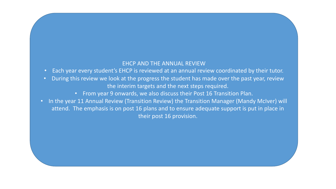#### EHCP AND THE ANNUAL REVIEW

- Each year every student's EHCP is reviewed at an annual review coordinated by their tutor.
- During this review we look at the progress the student has made over the past year, review the interim targets and the next steps required.
	- From year 9 onwards, we also discuss their Post 16 Transition Plan.
- In the year 11 Annual Review (Transition Review) the Transition Manager (Mandy McIver) will attend. The emphasis is on post 16 plans and to ensure adequate support is put in place in their post 16 provision.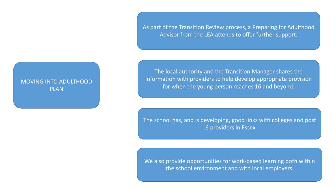As part of the Transition Review process, a Preparing for Adulthood Advisor from the LEA attends to offer further support.

### MOVING INTO ADULTHOOD PLAN

The local authority and the Transition Manager shares the information with providers to help develop appropriate provision for when the young person reaches 16 and beyond.

The school has, and is developing, good links with colleges and post 16 providers in Essex.

We also provide opportunities for work-based learning both within the school environment and with local employers.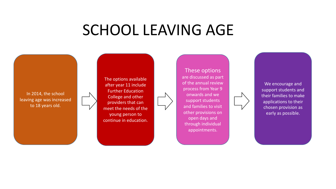# SCHOOL LEAVING AGE

In 2014, the school leaving age was increased to 18 years old.

The options available after year 11 include Further Education College and other providers that can meet the needs of the young person to continue in education.

These options are discussed as part of the annual review process from Year 9 onwards and we support students and families to visit other provisions on open days and through individual appointments.



We encourage and support students and their families to make applications to their chosen provision as early as possible.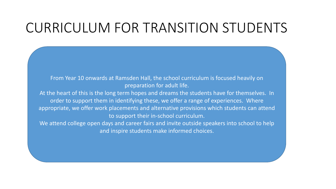## CURRICULUM FOR TRANSITION STUDENTS

From Year 10 onwards at Ramsden Hall, the school curriculum is focused heavily on preparation for adult life.

At the heart of this is the long term hopes and dreams the students have for themselves. In order to support them in identifying these, we offer a range of experiences. Where appropriate, we offer work placements and alternative provisions which students can attend to support their in-school curriculum.

We attend college open days and career fairs and invite outside speakers into school to help and inspire students make informed choices.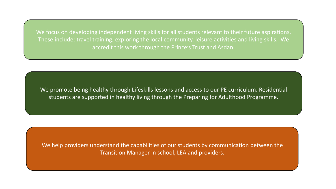We focus on developing independent living skills for all students relevant to their future aspirations. These include: travel training, exploring the local community, leisure activities and living skills. We accredit this work through the Prince's Trust and Asdan.

We promote being healthy through Lifeskills lessons and access to our PE curriculum. Residential students are supported in healthy living through the Preparing for Adulthood Programme.

We help providers understand the capabilities of our students by communication between the Transition Manager in school, LEA and providers.